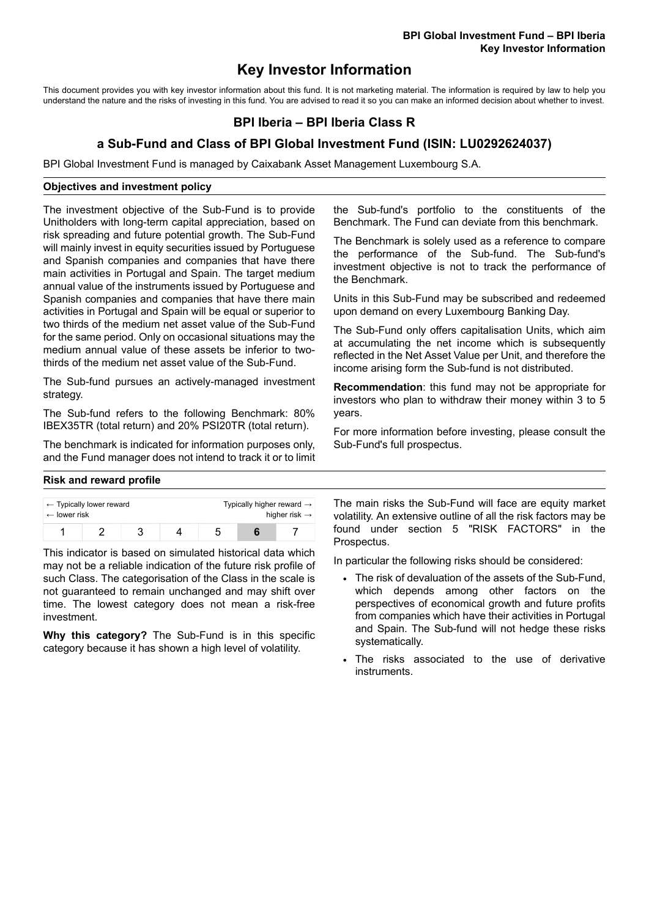# **Key Investor Information**

This document provides you with key investor information about this fund. It is not marketing material. The information is required by law to help you understand the nature and the risks of investing in this fund. You are advised to read it so you can make an informed decision about whether to invest.

## **BPI Iberia – BPI Iberia Class R**

## **a Sub-Fund and Class of BPI Global Investment Fund (ISIN: LU0292624037)**

BPI Global Investment Fund is managed by Caixabank Asset Management Luxembourg S.A.

#### **Objectives and investment policy**

The investment objective of the Sub-Fund is to provide Unitholders with long-term capital appreciation, based on risk spreading and future potential growth. The Sub-Fund will mainly invest in equity securities issued by Portuguese and Spanish companies and companies that have there main activities in Portugal and Spain. The target medium annual value of the instruments issued by Portuguese and Spanish companies and companies that have there main activities in Portugal and Spain will be equal or superior to two thirds of the medium net asset value of the Sub-Fund for the same period. Only on occasional situations may the medium annual value of these assets be inferior to twothirds of the medium net asset value of the Sub-Fund.

The Sub-fund pursues an actively-managed investment strategy.

The Sub-fund refers to the following Benchmark: 80% IBEX35TR (total return) and 20% PSI20TR (total return).

The benchmark is indicated for information purposes only, and the Fund manager does not intend to track it or to limit the Sub-fund's portfolio to the constituents of the Benchmark. The Fund can deviate from this benchmark.

The Benchmark is solely used as a reference to compare the performance of the Sub-fund. The Sub-fund's investment objective is not to track the performance of the Benchmark.

Units in this Sub-Fund may be subscribed and redeemed upon demand on every Luxembourg Banking Day.

The Sub-Fund only offers capitalisation Units, which aim at accumulating the net income which is subsequently reflected in the Net Asset Value per Unit, and therefore the income arising form the Sub-fund is not distributed.

**Recommendation**: this fund may not be appropriate for investors who plan to withdraw their money within 3 to 5 years.

For more information before investing, please consult the Sub-Fund's full prospectus.

#### **Risk and reward profile**

| $\leftarrow$ Typically lower reward<br>$\leftarrow$ lower risk |  |  | Typically higher reward $\rightarrow$<br>higher risk $\rightarrow$ |  |  |
|----------------------------------------------------------------|--|--|--------------------------------------------------------------------|--|--|
|                                                                |  |  |                                                                    |  |  |

This indicator is based on simulated historical data which may not be a reliable indication of the future risk profile of such Class. The categorisation of the Class in the scale is not guaranteed to remain unchanged and may shift over time. The lowest category does not mean a risk-free investment.

**Why this category?** The Sub-Fund is in this specific category because it has shown a high level of volatility.

The main risks the Sub-Fund will face are equity market volatility. An extensive outline of all the risk factors may be found under section 5 "RISK FACTORS" in the Prospectus.

In particular the following risks should be considered:

- The risk of devaluation of the assets of the Sub-Fund, which depends among other factors on the perspectives of economical growth and future profits from companies which have their activities in Portugal and Spain. The Sub-fund will not hedge these risks systematically.
- The risks associated to the use of derivative instruments.